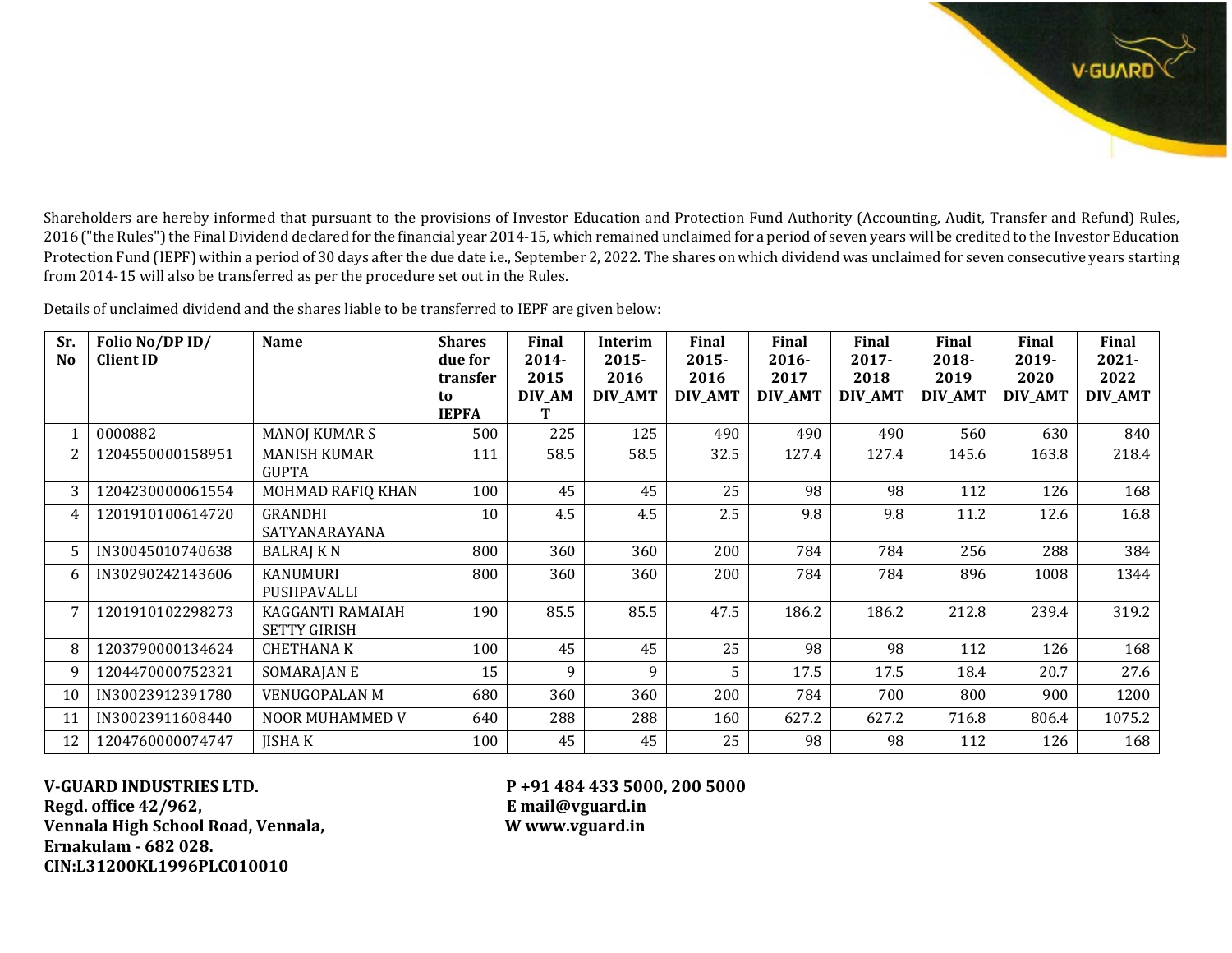

Shareholders are hereby informed that pursuant to the provisions of Investor Education and Protection Fund Authority (Accounting, Audit, Transfer and Refund) Rules, 2016 ("the Rules") the Final Dividend declared for the financial year 2014-15, which remained unclaimed for a period of seven years will be credited to the Investor Education Protection Fund (IEPF) within a period of 30 days after the due date i.e., September 2, 2022. The shares on which dividend was unclaimed for seven consecutive years starting from 2014-15 will also be transferred as per the procedure set out in the Rules.

Details of unclaimed dividend and the shares liable to be transferred to IEPF are given below:

| Sr.            | Folio No/DP ID/  | <b>Name</b>          | <b>Shares</b> | <b>Final</b> | Interim        | Final    | Final          | <b>Final</b>   | <b>Final</b>   | Final          | <b>Final</b> |
|----------------|------------------|----------------------|---------------|--------------|----------------|----------|----------------|----------------|----------------|----------------|--------------|
| N <sub>o</sub> | <b>Client ID</b> |                      | due for       | $2014 -$     | $2015 -$       | $2015 -$ | $2016 -$       | $2017 -$       | $2018 -$       | 2019-          | 2021-        |
|                |                  |                      | transfer      | 2015         | 2016           | 2016     | 2017           | 2018           | 2019           | 2020           | 2022         |
|                |                  |                      | to            | DIV_AM       | <b>DIV_AMT</b> | DIV_AMT  | <b>DIV_AMT</b> | <b>DIV_AMT</b> | <b>DIV_AMT</b> | <b>DIV_AMT</b> | DIV_AMT      |
|                |                  |                      | <b>IEPFA</b>  |              |                |          |                |                |                |                |              |
|                | 0000882          | <b>MANOJ KUMAR S</b> | 500           | 225          | 125            | 490      | 490            | 490            | 560            | 630            | 840          |
| 2              | 1204550000158951 | <b>MANISH KUMAR</b>  | 111           | 58.5         | 58.5           | 32.5     | 127.4          | 127.4          | 145.6          | 163.8          | 218.4        |
|                |                  | <b>GUPTA</b>         |               |              |                |          |                |                |                |                |              |
| 3              | 1204230000061554 | MOHMAD RAFIQ KHAN    | 100           | 45           | 45             | 25       | 98             | 98             | 112            | 126            | 168          |
| 4              | 1201910100614720 | <b>GRANDHI</b>       | 10            | 4.5          | 4.5            | 2.5      | 9.8            | 9.8            | 11.2           | 12.6           | 16.8         |
|                |                  | SATYANARAYANA        |               |              |                |          |                |                |                |                |              |
|                | IN30045010740638 | <b>BALRAJ K N</b>    | 800           | 360          | 360            | 200      | 784            | 784            | 256            | 288            | 384          |
|                | IN30290242143606 | <b>KANUMURI</b>      | 800           | 360          | 360            | 200      | 784            | 784            | 896            | 1008           | 1344         |
|                |                  | PUSHPAVALLI          |               |              |                |          |                |                |                |                |              |
|                | 1201910102298273 | KAGGANTI RAMAIAH     | 190           | 85.5         | 85.5           | 47.5     | 186.2          | 186.2          | 212.8          | 239.4          | 319.2        |
|                |                  | <b>SETTY GIRISH</b>  |               |              |                |          |                |                |                |                |              |
| 8              | 1203790000134624 | <b>CHETHANAK</b>     | 100           | 45           | 45             | 25       | 98             | 98             | 112            | 126            | 168          |
| 9              | 1204470000752321 | SOMARAJAN E          | 15            | 9            | 9              | 5        | 17.5           | 17.5           | 18.4           | 20.7           | 27.6         |
| 10             | IN30023912391780 | <b>VENUGOPALAN M</b> | 680           | 360          | 360            | 200      | 784            | 700            | 800            | 900            | 1200         |
| 11             | IN30023911608440 | NOOR MUHAMMED V      | 640           | 288          | 288            | 160      | 627.2          | 627.2          | 716.8          | 806.4          | 1075.2       |
| 12             | 1204760000074747 | <b>JISHA K</b>       | 100           | 45           | 45             | 25       | 98             | 98             | 112            | 126            | 168          |

**V-GUARD INDUSTRIES LTD. P +91 484 433 5000, 200 5000 Regd. office 42/962, E mail@vguard.in**  Vennala High School Road, Vennala, **Ernakulam - 682 028. CIN:L31200KL1996PLC010010**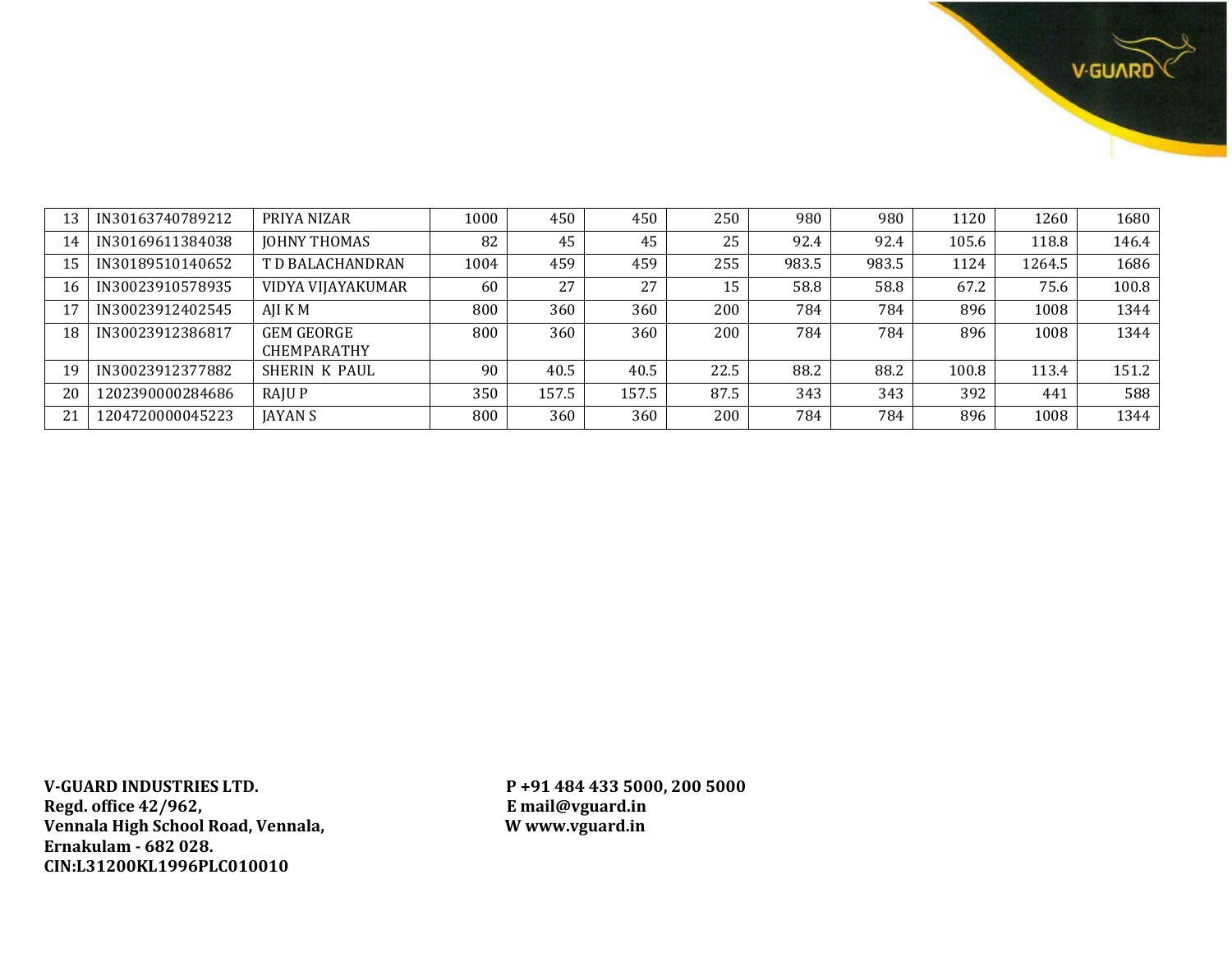| 13 | IN30163740789212 | PRIYA NIZAR                             | 1000 | 450   | 450   | 250  | 980   | 980   | 1120  | 1260   | 1680  |
|----|------------------|-----------------------------------------|------|-------|-------|------|-------|-------|-------|--------|-------|
| 14 | IN30169611384038 | <b>JOHNY THOMAS</b>                     | 82   | 45    | 45    | 25   | 92.4  | 92.4  | 105.6 | 118.8  | 146.4 |
| 15 | IN30189510140652 | T D BALACHANDRAN                        | 1004 | 459   | 459   | 255  | 983.5 | 983.5 | 1124  | 1264.5 | 1686  |
| 16 | IN30023910578935 | VIDYA VIJAYAKUMAR                       | 60   | 27    | 27    | 15   | 58.8  | 58.8  | 67.2  | 75.6   | 100.8 |
| 17 | IN30023912402545 | AJI K M                                 | 800  | 360   | 360   | 200  | 784   | 784   | 896   | 1008   | 1344  |
| 18 | IN30023912386817 | <b>GEM GEORGE</b><br><b>CHEMPARATHY</b> | 800  | 360   | 360   | 200  | 784   | 784   | 896   | 1008   | 1344  |
| 19 | IN30023912377882 | SHERIN K PAUL                           | 90   | 40.5  | 40.5  | 22.5 | 88.2  | 88.2  | 100.8 | 113.4  | 151.2 |
| 20 | 1202390000284686 | <b>RAJUP</b>                            | 350  | 157.5 | 157.5 | 87.5 | 343   | 343   | 392   | 441    | 588   |
| 21 | 1204720000045223 | <b>JAYAN S</b>                          | 800  | 360   | 360   | 200  | 784   | 784   | 896   | 1008   | 1344  |

**V-GUARD** 

**V-GUARD INDUSTRIES LTD. P +91 484 433 5000, 200 5000 Regd. office 42/962, E mail@vguard.in Vennala High School Road, Vennala, W www.vguard.in Ernakulam - 682 028. CIN:L31200KL1996PLC010010**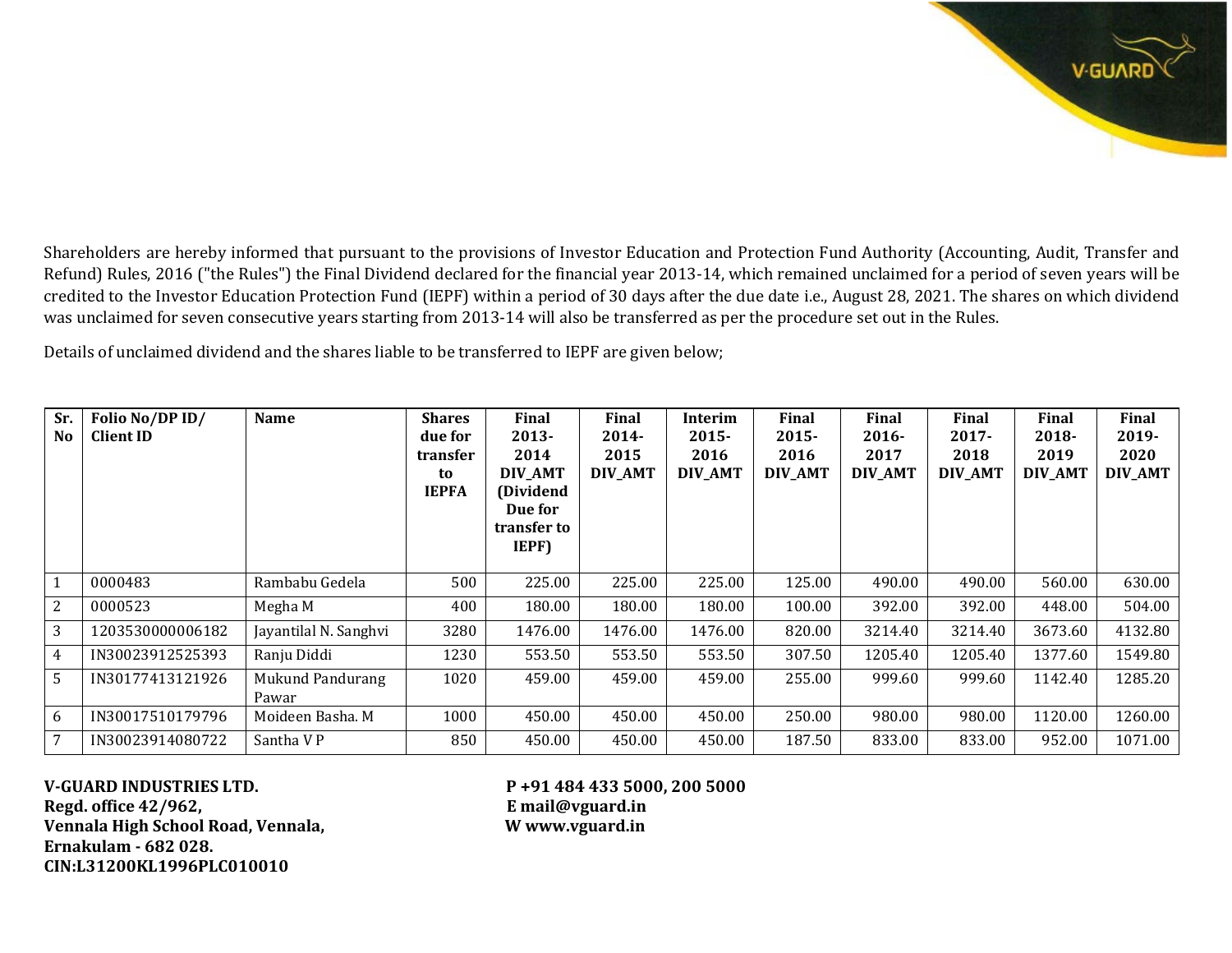

Shareholders are hereby informed that pursuant to the provisions of Investor Education and Protection Fund Authority (Accounting, Audit, Transfer and Refund) Rules, 2016 ("the Rules") the Final Dividend declared for the financial year 2013-14, which remained unclaimed for a period of seven years will be credited to the Investor Education Protection Fund (IEPF) within a period of 30 days after the due date i.e., August 28, 2021. The shares on which dividend was unclaimed for seven consecutive years starting from 2013-14 will also be transferred as per the procedure set out in the Rules.

Details of unclaimed dividend and the shares liable to be transferred to IEPF are given below;

| Sr.<br>N <sub>o</sub> | Folio No/DP ID/<br><b>Client ID</b> | <b>Name</b>                      | <b>Shares</b><br>due for<br>transfer<br>to<br><b>IEPFA</b> | Final<br>$2013 -$<br>2014<br>DIV AMT<br>(Dividend<br>Due for<br>transfer to<br><b>IEPF)</b> | Final<br>$2014 -$<br>2015<br>DIV AMT | Interim<br>$2015 -$<br>2016<br>DIV AMT | <b>Final</b><br>$2015 -$<br>2016<br>DIV AMT | <b>Final</b><br>$2016 -$<br>2017<br>DIV AMT | Final<br>$2017 -$<br>2018<br>DIV AMT | <b>Final</b><br>$2018 -$<br>2019<br><b>DIV_AMT</b> | Final<br>2019-<br>2020<br><b>DIV_AMT</b> |
|-----------------------|-------------------------------------|----------------------------------|------------------------------------------------------------|---------------------------------------------------------------------------------------------|--------------------------------------|----------------------------------------|---------------------------------------------|---------------------------------------------|--------------------------------------|----------------------------------------------------|------------------------------------------|
| $\mathbf{1}$          | 0000483                             | Rambabu Gedela                   | 500                                                        | 225.00                                                                                      | 225.00                               | 225.00                                 | 125.00                                      | 490.00                                      | 490.00                               | 560.00                                             | 630.00                                   |
| 2                     | 0000523                             | Megha M                          | 400                                                        | 180.00                                                                                      | 180.00                               | 180.00                                 | 100.00                                      | 392.00                                      | 392.00                               | 448.00                                             | 504.00                                   |
| 3                     | 1203530000006182                    | Jayantilal N. Sanghvi            | 3280                                                       | 1476.00                                                                                     | 1476.00                              | 1476.00                                | 820.00                                      | 3214.40                                     | 3214.40                              | 3673.60                                            | 4132.80                                  |
| $\overline{4}$        | IN30023912525393                    | Ranju Diddi                      | 1230                                                       | 553.50                                                                                      | 553.50                               | 553.50                                 | 307.50                                      | 1205.40                                     | 1205.40                              | 1377.60                                            | 1549.80                                  |
| 5                     | IN30177413121926                    | <b>Mukund Pandurang</b><br>Pawar | 1020                                                       | 459.00                                                                                      | 459.00                               | 459.00                                 | 255.00                                      | 999.60                                      | 999.60                               | 1142.40                                            | 1285.20                                  |
| 6                     | IN30017510179796                    | Moideen Basha. M                 | 1000                                                       | 450.00                                                                                      | 450.00                               | 450.00                                 | 250.00                                      | 980.00                                      | 980.00                               | 1120.00                                            | 1260.00                                  |
| 7                     | IN30023914080722                    | Santha VP                        | 850                                                        | 450.00                                                                                      | 450.00                               | 450.00                                 | 187.50                                      | 833.00                                      | 833.00                               | 952.00                                             | 1071.00                                  |

**V-GUARD INDUSTRIES LTD. P +91 484 433 5000, 200 5000 Regd. office 42/962, E mail@vguard.in**  Vennala High School Road, Vennala, WWW.vguard.in **Ernakulam - 682 028. CIN:L31200KL1996PLC010010**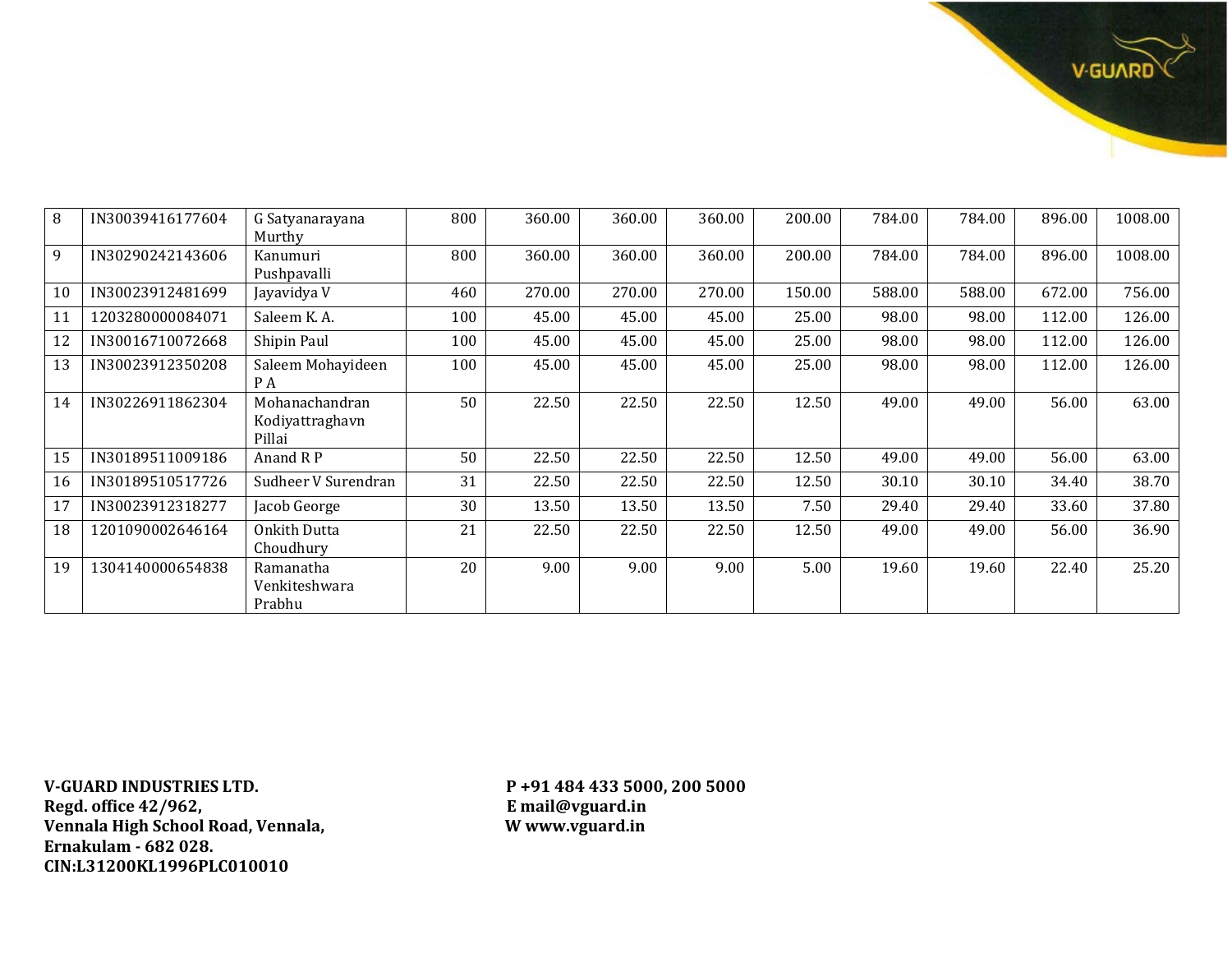| 8  | IN30039416177604 | G Satyanarayana<br>Murthy                   | 800 | 360.00 | 360.00 | 360.00 | 200.00 | 784.00 | 784.00 | 896.00 | 1008.00 |
|----|------------------|---------------------------------------------|-----|--------|--------|--------|--------|--------|--------|--------|---------|
| 9  | IN30290242143606 | Kanumuri<br>Pushpavalli                     | 800 | 360.00 | 360.00 | 360.00 | 200.00 | 784.00 | 784.00 | 896.00 | 1008.00 |
| 10 | IN30023912481699 | Jayavidya V                                 | 460 | 270.00 | 270.00 | 270.00 | 150.00 | 588.00 | 588.00 | 672.00 | 756.00  |
| 11 | 1203280000084071 | Saleem K.A.                                 | 100 | 45.00  | 45.00  | 45.00  | 25.00  | 98.00  | 98.00  | 112.00 | 126.00  |
| 12 | IN30016710072668 | Shipin Paul                                 | 100 | 45.00  | 45.00  | 45.00  | 25.00  | 98.00  | 98.00  | 112.00 | 126.00  |
| 13 | IN30023912350208 | Saleem Mohayideen<br>P A                    | 100 | 45.00  | 45.00  | 45.00  | 25.00  | 98.00  | 98.00  | 112.00 | 126.00  |
| 14 | IN30226911862304 | Mohanachandran<br>Kodiyattraghavn<br>Pillai | 50  | 22.50  | 22.50  | 22.50  | 12.50  | 49.00  | 49.00  | 56.00  | 63.00   |
| 15 | IN30189511009186 | Anand R P                                   | 50  | 22.50  | 22.50  | 22.50  | 12.50  | 49.00  | 49.00  | 56.00  | 63.00   |
| 16 | IN30189510517726 | Sudheer V Surendran                         | 31  | 22.50  | 22.50  | 22.50  | 12.50  | 30.10  | 30.10  | 34.40  | 38.70   |
| 17 | IN30023912318277 | Jacob George                                | 30  | 13.50  | 13.50  | 13.50  | 7.50   | 29.40  | 29.40  | 33.60  | 37.80   |
| 18 | 1201090002646164 | Onkith Dutta<br>Choudhury                   | 21  | 22.50  | 22.50  | 22.50  | 12.50  | 49.00  | 49.00  | 56.00  | 36.90   |
| 19 | 1304140000654838 | Ramanatha<br>Venkiteshwara<br>Prabhu        | 20  | 9.00   | 9.00   | 9.00   | 5.00   | 19.60  | 19.60  | 22.40  | 25.20   |

**V-GUAR** 

**V-GUARD INDUSTRIES LTD. P +91 484 433 5000, 200 5000 Regd. office 42/962, E mail@vguard.in**  Vennala High School Road, Vennala, **Ernakulam - 682 028. CIN:L31200KL1996PLC010010**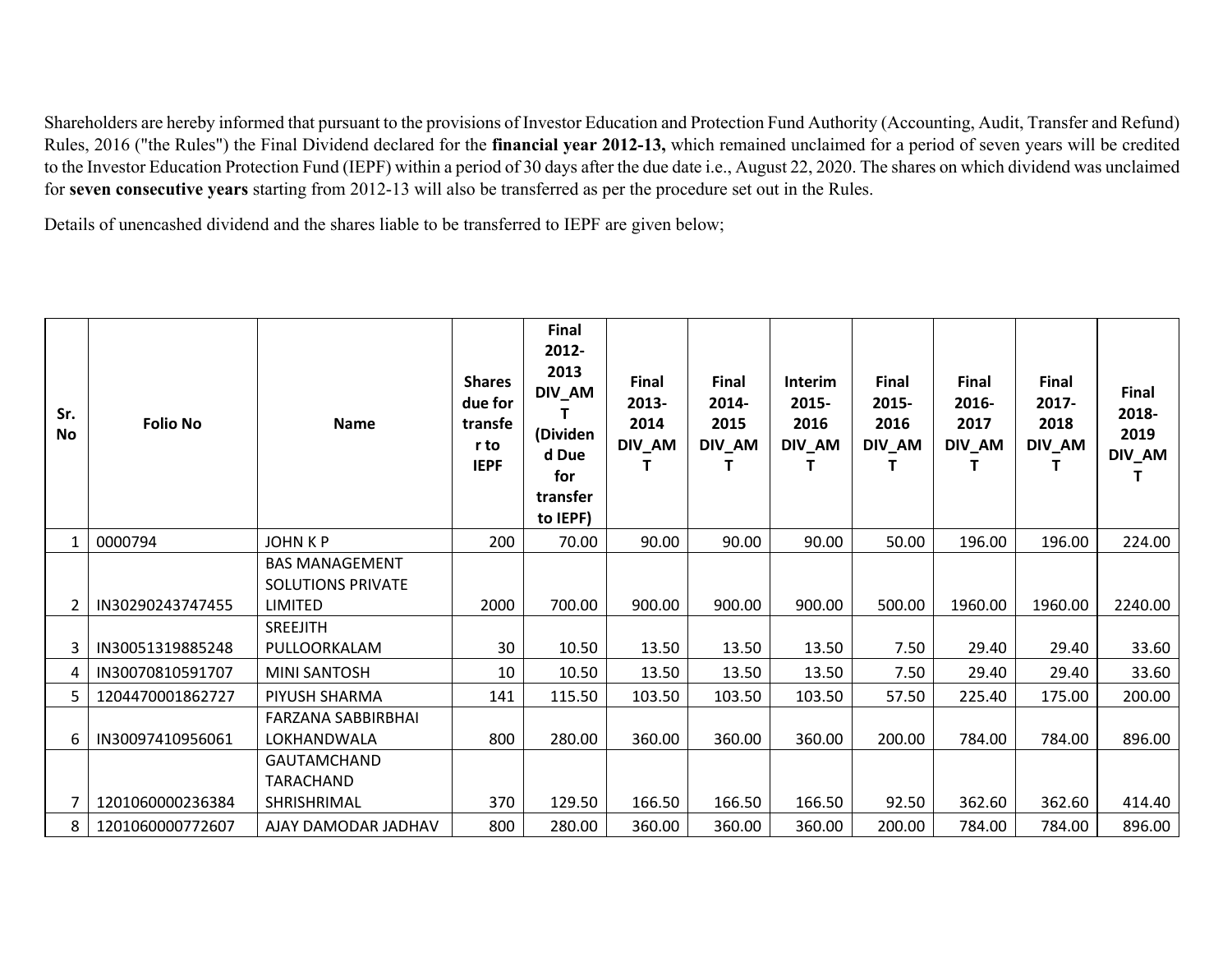Shareholders are hereby informed that pursuant to the provisions of Investor Education and Protection Fund Authority (Accounting, Audit, Transfer and Refund) Rules, 2016 ("the Rules") the Final Dividend declared for the **financial year 2012-13,** which remained unclaimed for a period of seven years will be credited to the Investor Education Protection Fund (IEPF) within a period of 30 days after the due date i.e., August 22, 2020. The shares on which dividend was unclaimed for **seven consecutive years** starting from 2012-13 will also be transferred as per the procedure set out in the Rules.

Details of unencashed dividend and the shares liable to be transferred to IEPF are given below;

| Sr.<br>No | <b>Folio No</b>  | <b>Name</b>                                                  | <b>Shares</b><br>due for<br>transfe<br>r to<br><b>IEPF</b> | <b>Final</b><br>2012-<br>2013<br>DIV_AM<br>(Dividen<br>d Due<br>for<br>transfer<br>to IEPF) | Final<br>2013-<br>2014<br>DIV_AM | Final<br>2014-<br>2015<br>DIV_AM | <b>Interim</b><br>2015-<br>2016<br>DIV_AM<br>т | <b>Final</b><br>2015-<br>2016<br>DIV_AM<br>т | <b>Final</b><br>2016-<br>2017<br>DIV_AM | <b>Final</b><br>2017-<br>2018<br>DIV_AM | <b>Final</b><br>2018-<br>2019<br>DIV_AM |
|-----------|------------------|--------------------------------------------------------------|------------------------------------------------------------|---------------------------------------------------------------------------------------------|----------------------------------|----------------------------------|------------------------------------------------|----------------------------------------------|-----------------------------------------|-----------------------------------------|-----------------------------------------|
|           | 0000794          | <b>JOHN KP</b>                                               | 200                                                        | 70.00                                                                                       | 90.00                            | 90.00                            | 90.00                                          | 50.00                                        | 196.00                                  | 196.00                                  | 224.00                                  |
|           | IN30290243747455 | <b>BAS MANAGEMENT</b><br><b>SOLUTIONS PRIVATE</b><br>LIMITED | 2000                                                       | 700.00                                                                                      | 900.00                           | 900.00                           | 900.00                                         | 500.00                                       | 1960.00                                 | 1960.00                                 | 2240.00                                 |
|           |                  | <b>SREEJITH</b>                                              |                                                            |                                                                                             |                                  |                                  |                                                |                                              |                                         |                                         |                                         |
| 3         | IN30051319885248 | PULLOORKALAM                                                 | 30                                                         | 10.50                                                                                       | 13.50                            | 13.50                            | 13.50                                          | 7.50                                         | 29.40                                   | 29.40                                   | 33.60                                   |
| 4         | IN30070810591707 | <b>MINI SANTOSH</b>                                          | 10                                                         | 10.50                                                                                       | 13.50                            | 13.50                            | 13.50                                          | 7.50                                         | 29.40                                   | 29.40                                   | 33.60                                   |
| 5.        | 1204470001862727 | PIYUSH SHARMA                                                | 141                                                        | 115.50                                                                                      | 103.50                           | 103.50                           | 103.50                                         | 57.50                                        | 225.40                                  | 175.00                                  | 200.00                                  |
| 6         | IN30097410956061 | FARZANA SABBIRBHAI<br>LOKHANDWALA                            | 800                                                        | 280.00                                                                                      | 360.00                           | 360.00                           | 360.00                                         | 200.00                                       | 784.00                                  | 784.00                                  | 896.00                                  |
|           |                  | <b>GAUTAMCHAND</b><br><b>TARACHAND</b>                       |                                                            |                                                                                             |                                  |                                  |                                                |                                              |                                         |                                         |                                         |
|           | 1201060000236384 | SHRISHRIMAL                                                  | 370                                                        | 129.50                                                                                      | 166.50                           | 166.50                           | 166.50                                         | 92.50                                        | 362.60                                  | 362.60                                  | 414.40                                  |
| 8         | 1201060000772607 | AJAY DAMODAR JADHAV                                          | 800                                                        | 280.00                                                                                      | 360.00                           | 360.00                           | 360.00                                         | 200.00                                       | 784.00                                  | 784.00                                  | 896.00                                  |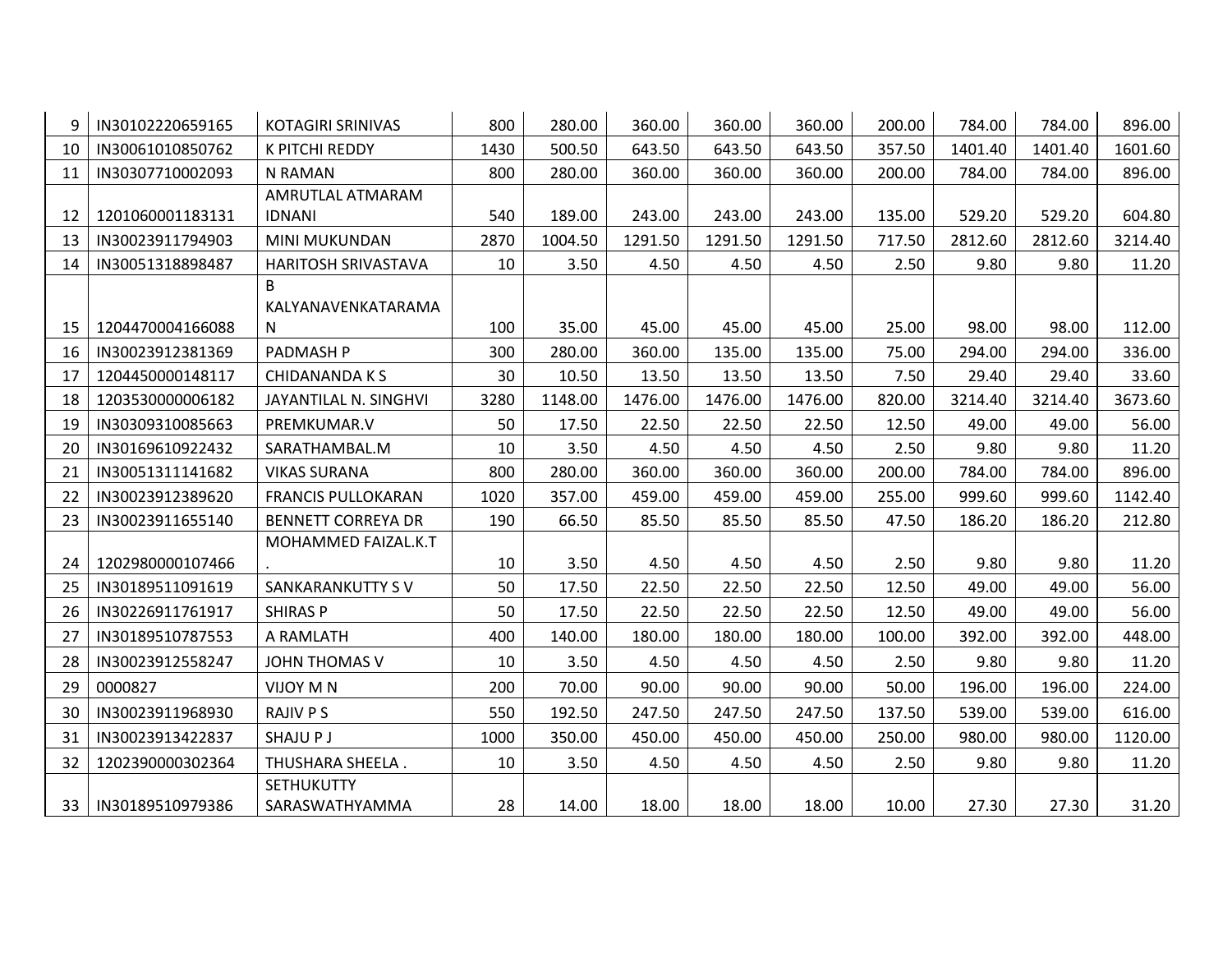| 9  | IN30102220659165 | <b>KOTAGIRI SRINIVAS</b>  | 800  | 280.00  | 360.00  | 360.00  | 360.00  | 200.00 | 784.00  | 784.00  | 896.00  |
|----|------------------|---------------------------|------|---------|---------|---------|---------|--------|---------|---------|---------|
| 10 | IN30061010850762 | K PITCHI REDDY            | 1430 | 500.50  | 643.50  | 643.50  | 643.50  | 357.50 | 1401.40 | 1401.40 | 1601.60 |
| 11 | IN30307710002093 | N RAMAN                   | 800  | 280.00  | 360.00  | 360.00  | 360.00  | 200.00 | 784.00  | 784.00  | 896.00  |
|    |                  | AMRUTLAL ATMARAM          |      |         |         |         |         |        |         |         |         |
| 12 | 1201060001183131 | <b>IDNANI</b>             | 540  | 189.00  | 243.00  | 243.00  | 243.00  | 135.00 | 529.20  | 529.20  | 604.80  |
| 13 | IN30023911794903 | MINI MUKUNDAN             | 2870 | 1004.50 | 1291.50 | 1291.50 | 1291.50 | 717.50 | 2812.60 | 2812.60 | 3214.40 |
| 14 | IN30051318898487 | HARITOSH SRIVASTAVA       | 10   | 3.50    | 4.50    | 4.50    | 4.50    | 2.50   | 9.80    | 9.80    | 11.20   |
|    |                  | B                         |      |         |         |         |         |        |         |         |         |
|    |                  | KALYANAVENKATARAMA        |      |         |         |         |         |        |         |         |         |
| 15 | 1204470004166088 | N                         | 100  | 35.00   | 45.00   | 45.00   | 45.00   | 25.00  | 98.00   | 98.00   | 112.00  |
| 16 | IN30023912381369 | PADMASH P                 | 300  | 280.00  | 360.00  | 135.00  | 135.00  | 75.00  | 294.00  | 294.00  | 336.00  |
| 17 | 1204450000148117 | <b>CHIDANANDA KS</b>      | 30   | 10.50   | 13.50   | 13.50   | 13.50   | 7.50   | 29.40   | 29.40   | 33.60   |
| 18 | 1203530000006182 | JAYANTILAL N. SINGHVI     | 3280 | 1148.00 | 1476.00 | 1476.00 | 1476.00 | 820.00 | 3214.40 | 3214.40 | 3673.60 |
| 19 | IN30309310085663 | PREMKUMAR.V               | 50   | 17.50   | 22.50   | 22.50   | 22.50   | 12.50  | 49.00   | 49.00   | 56.00   |
| 20 | IN30169610922432 | SARATHAMBAL.M             | 10   | 3.50    | 4.50    | 4.50    | 4.50    | 2.50   | 9.80    | 9.80    | 11.20   |
| 21 | IN30051311141682 | <b>VIKAS SURANA</b>       | 800  | 280.00  | 360.00  | 360.00  | 360.00  | 200.00 | 784.00  | 784.00  | 896.00  |
| 22 | IN30023912389620 | <b>FRANCIS PULLOKARAN</b> | 1020 | 357.00  | 459.00  | 459.00  | 459.00  | 255.00 | 999.60  | 999.60  | 1142.40 |
| 23 | IN30023911655140 | <b>BENNETT CORREYA DR</b> | 190  | 66.50   | 85.50   | 85.50   | 85.50   | 47.50  | 186.20  | 186.20  | 212.80  |
|    |                  | MOHAMMED FAIZAL.K.T       |      |         |         |         |         |        |         |         |         |
| 24 | 1202980000107466 |                           | 10   | 3.50    | 4.50    | 4.50    | 4.50    | 2.50   | 9.80    | 9.80    | 11.20   |
| 25 | IN30189511091619 | SANKARANKUTTY SV          | 50   | 17.50   | 22.50   | 22.50   | 22.50   | 12.50  | 49.00   | 49.00   | 56.00   |
| 26 | IN30226911761917 | <b>SHIRAS P</b>           | 50   | 17.50   | 22.50   | 22.50   | 22.50   | 12.50  | 49.00   | 49.00   | 56.00   |
| 27 | IN30189510787553 | A RAMLATH                 | 400  | 140.00  | 180.00  | 180.00  | 180.00  | 100.00 | 392.00  | 392.00  | 448.00  |
| 28 | IN30023912558247 | <b>JOHN THOMAS V</b>      | 10   | 3.50    | 4.50    | 4.50    | 4.50    | 2.50   | 9.80    | 9.80    | 11.20   |
| 29 | 0000827          | VIJOY M N                 | 200  | 70.00   | 90.00   | 90.00   | 90.00   | 50.00  | 196.00  | 196.00  | 224.00  |
| 30 | IN30023911968930 | <b>RAJIV P S</b>          | 550  | 192.50  | 247.50  | 247.50  | 247.50  | 137.50 | 539.00  | 539.00  | 616.00  |
| 31 | IN30023913422837 | <b>SHAJUPJ</b>            | 1000 | 350.00  | 450.00  | 450.00  | 450.00  | 250.00 | 980.00  | 980.00  | 1120.00 |
| 32 | 1202390000302364 | THUSHARA SHEELA.          | 10   | 3.50    | 4.50    | 4.50    | 4.50    | 2.50   | 9.80    | 9.80    | 11.20   |
|    |                  | <b>SETHUKUTTY</b>         |      |         |         |         |         |        |         |         |         |
| 33 | IN30189510979386 | SARASWATHYAMMA            | 28   | 14.00   | 18.00   | 18.00   | 18.00   | 10.00  | 27.30   | 27.30   | 31.20   |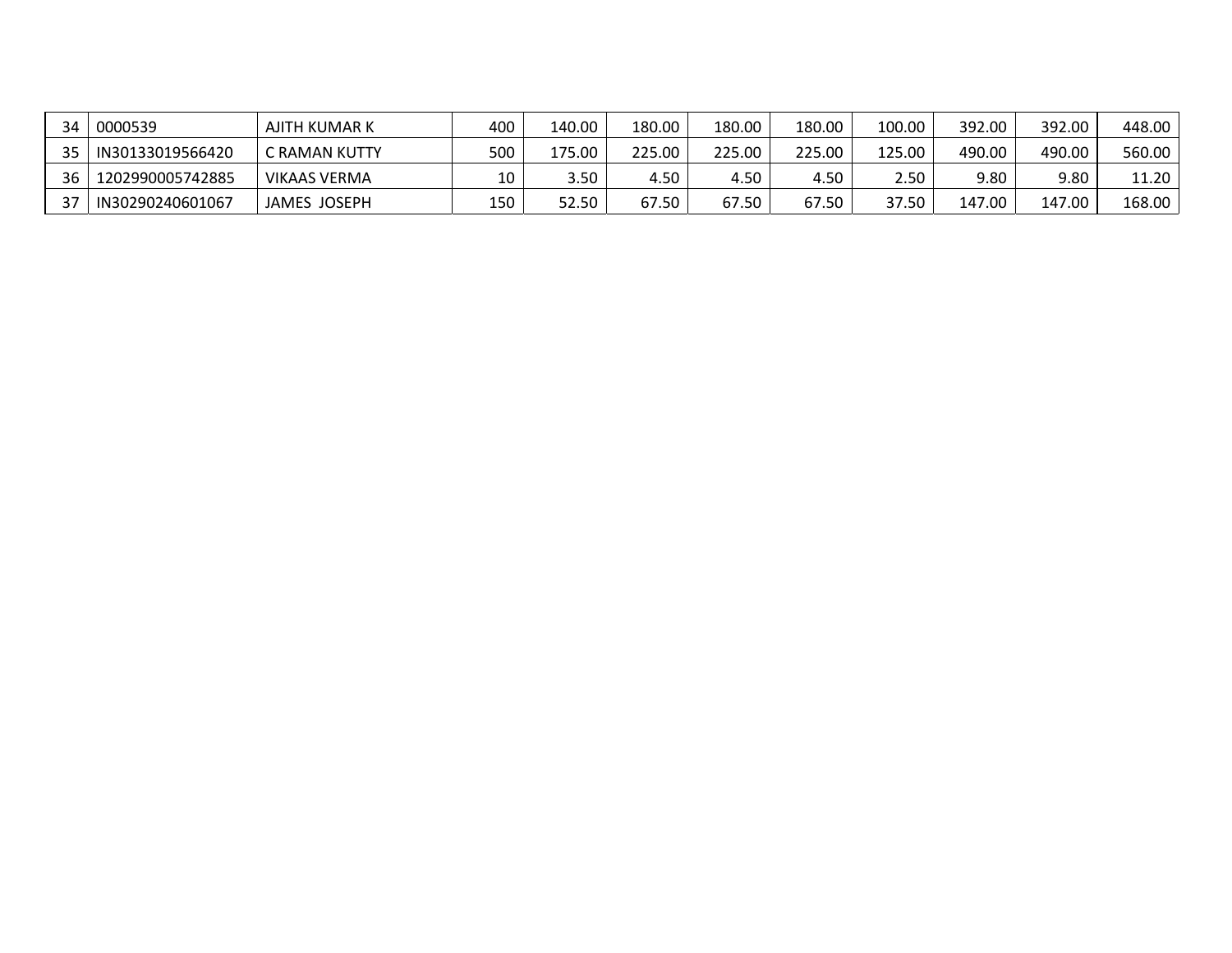| 34 | 0000539          | AJITH KUMAR K | 400 | 140.00 | 180.00 | 180.00 | 180.00 | 100.00 | 392.00 | 392.00 | 448.00 |
|----|------------------|---------------|-----|--------|--------|--------|--------|--------|--------|--------|--------|
|    | IN30133019566420 | C RAMAN KUTTY | 500 | 175.00 | 225.00 | 225.00 | 225.00 | 125.00 | 490.00 | 490.00 | 560.00 |
| 36 | 1202990005742885 | VIKAAS VERMA  | 10  | 3.50   | 4.50   | 4.50   | 4.50   | 2.50   | 9.80   | 9.80   | 11.20  |
|    | IN30290240601067 | JAMES JOSEPH  | 150 | 52.50  | 67.50  | 67.50  | 67.50  | 37.50  | 147.00 | 147.00 | 168.00 |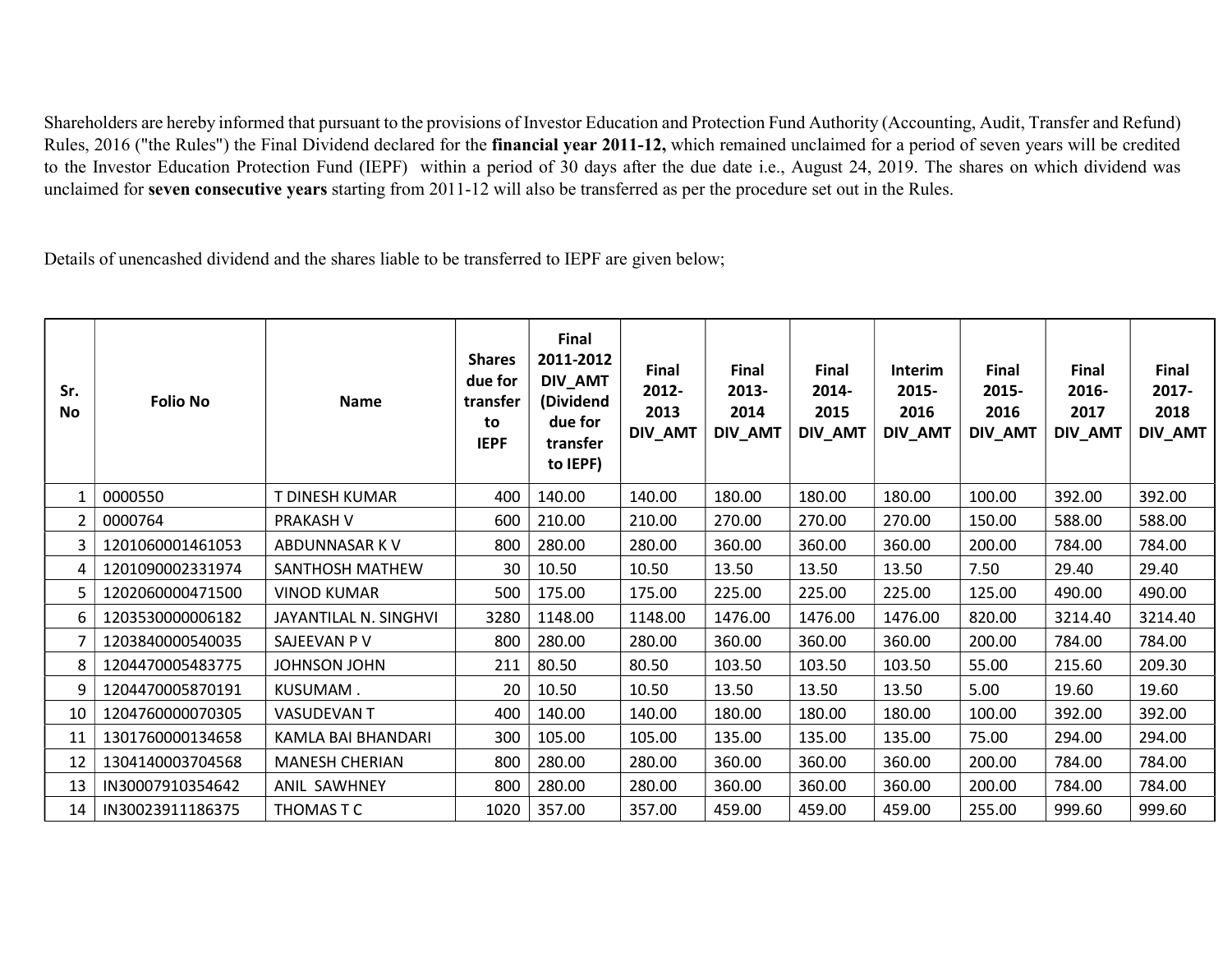Shareholders are hereby informed that pursuant to the provisions of Investor Education and Protection Fund Authority (Accounting, Audit, Transfer and Refund) Rules, 2016 ("the Rules") the Final Dividend declared for the financial year 2011-12, which remained unclaimed for a period of seven years will be credited to the Investor Education Protection Fund (IEPF) within a period of 30 days after the due date i.e., August 24, 2019. The shares on which dividend was unclaimed for seven consecutive years starting from 2011-12 will also be transferred as per the procedure set out in the Rules.

Details of unencashed dividend and the shares liable to be transferred to IEPF are given below;

| Sr.<br><b>No</b> | <b>Folio No</b>  | <b>Name</b>           | <b>Shares</b><br>due for<br>transfer<br>to<br><b>IEPF</b> | Final<br>2011-2012<br>DIV_AMT<br>(Dividend<br>due for<br>transfer<br>to IEPF) | <b>Final</b><br>2012-<br>2013<br>DIV_AMT | Final<br>2013-<br>2014<br>DIV_AMT | <b>Final</b><br>2014-<br>2015<br>DIV_AMT | <b>Interim</b><br>2015-<br>2016<br>DIV_AMT | <b>Final</b><br>2015-<br>2016<br>DIV_AMT | <b>Final</b><br>2016-<br>2017<br>DIV_AMT | Final<br>2017-<br>2018<br>DIV_AMT |
|------------------|------------------|-----------------------|-----------------------------------------------------------|-------------------------------------------------------------------------------|------------------------------------------|-----------------------------------|------------------------------------------|--------------------------------------------|------------------------------------------|------------------------------------------|-----------------------------------|
| 1                | 0000550          | T DINESH KUMAR        | 400                                                       | 140.00                                                                        | 140.00                                   | 180.00                            | 180.00                                   | 180.00                                     | 100.00                                   | 392.00                                   | 392.00                            |
| $\overline{2}$   | 0000764          | <b>PRAKASH V</b>      | 600                                                       | 210.00                                                                        | 210.00                                   | 270.00                            | 270.00                                   | 270.00                                     | 150.00                                   | 588.00                                   | 588.00                            |
| 3                | 1201060001461053 | ABDUNNASAR K V        | 800                                                       | 280.00                                                                        | 280.00                                   | 360.00                            | 360.00                                   | 360.00                                     | 200.00                                   | 784.00                                   | 784.00                            |
| 4                | 1201090002331974 | SANTHOSH MATHEW       | 30                                                        | 10.50                                                                         | 10.50                                    | 13.50                             | 13.50                                    | 13.50                                      | 7.50                                     | 29.40                                    | 29.40                             |
| 5                | 1202060000471500 | <b>VINOD KUMAR</b>    | 500                                                       | 175.00                                                                        | 175.00                                   | 225.00                            | 225.00                                   | 225.00                                     | 125.00                                   | 490.00                                   | 490.00                            |
| 6                | 1203530000006182 | JAYANTILAL N. SINGHVI | 3280                                                      | 1148.00                                                                       | 1148.00                                  | 1476.00                           | 1476.00                                  | 1476.00                                    | 820.00                                   | 3214.40                                  | 3214.40                           |
| $\overline{7}$   | 1203840000540035 | SAJEEVAN PV           | 800                                                       | 280.00                                                                        | 280.00                                   | 360.00                            | 360.00                                   | 360.00                                     | 200.00                                   | 784.00                                   | 784.00                            |
| 8                | 1204470005483775 | JOHNSON JOHN          | 211                                                       | 80.50                                                                         | 80.50                                    | 103.50                            | 103.50                                   | 103.50                                     | 55.00                                    | 215.60                                   | 209.30                            |
| 9                | 1204470005870191 | KUSUMAM.              | 20                                                        | 10.50                                                                         | 10.50                                    | 13.50                             | 13.50                                    | 13.50                                      | 5.00                                     | 19.60                                    | 19.60                             |
| 10               | 1204760000070305 | <b>VASUDEVAN T</b>    | 400                                                       | 140.00                                                                        | 140.00                                   | 180.00                            | 180.00                                   | 180.00                                     | 100.00                                   | 392.00                                   | 392.00                            |
| 11               | 1301760000134658 | KAMLA BAI BHANDARI    | 300                                                       | 105.00                                                                        | 105.00                                   | 135.00                            | 135.00                                   | 135.00                                     | 75.00                                    | 294.00                                   | 294.00                            |
| 12               | 1304140003704568 | <b>MANESH CHERIAN</b> | 800                                                       | 280.00                                                                        | 280.00                                   | 360.00                            | 360.00                                   | 360.00                                     | 200.00                                   | 784.00                                   | 784.00                            |
| 13               | IN30007910354642 | ANIL SAWHNEY          | 800                                                       | 280.00                                                                        | 280.00                                   | 360.00                            | 360.00                                   | 360.00                                     | 200.00                                   | 784.00                                   | 784.00                            |
| 14               | IN30023911186375 | THOMAS T C            | 1020                                                      | 357.00                                                                        | 357.00                                   | 459.00                            | 459.00                                   | 459.00                                     | 255.00                                   | 999.60                                   | 999.60                            |